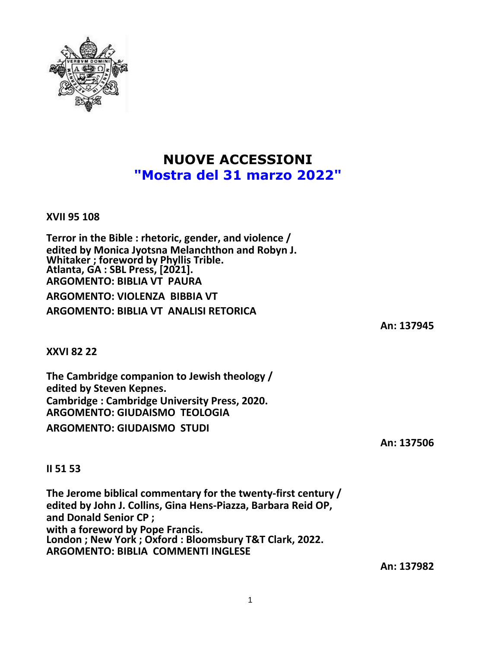

## **NUOVE ACCESSIONI "Mostra del 31 marzo 2022"**

**XVII 95 108**

**Terror in the Bible : rhetoric, gender, and violence / edited by Monica Jyotsna Melanchthon and Robyn J. Whitaker ; foreword by Phyllis Trible. Atlanta, GA : SBL Press, [2021]. ARGOMENTO: BIBLIA VT PAURA ARGOMENTO: VIOLENZA BIBBIA VT ARGOMENTO: BIBLIA VT ANALISI RETORICA**

**An: 137945**

**XXVI 82 22**

**The Cambridge companion to Jewish theology / edited by Steven Kepnes. Cambridge : Cambridge University Press, 2020. ARGOMENTO: GIUDAISMO TEOLOGIA ARGOMENTO: GIUDAISMO STUDI**

**An: 137506**

**II 51 53**

**The Jerome biblical commentary for the twenty-first century / edited by John J. Collins, Gina Hens-Piazza, Barbara Reid OP, and Donald Senior CP ; with a foreword by Pope Francis. London ; New York ; Oxford : Bloomsbury T&T Clark, 2022. ARGOMENTO: BIBLIA COMMENTI INGLESE**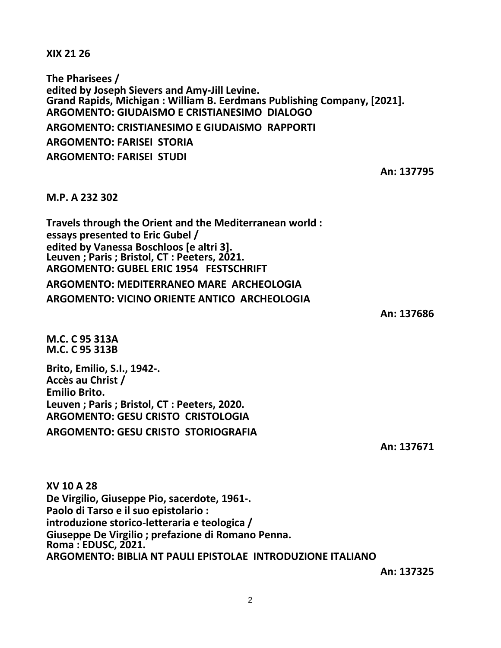**XIX 21 26**

**The Pharisees / edited by Joseph Sievers and Amy-Jill Levine. Grand Rapids, Michigan : William B. Eerdmans Publishing Company, [2021]. ARGOMENTO: GIUDAISMO E CRISTIANESIMO DIALOGO ARGOMENTO: CRISTIANESIMO E GIUDAISMO RAPPORTI ARGOMENTO: FARISEI STORIA ARGOMENTO: FARISEI STUDI**

**M.P. A 232 302**

**Travels through the Orient and the Mediterranean world : essays presented to Eric Gubel / edited by Vanessa Boschloos [e altri 3]. Leuven ; Paris ; Bristol, CT : Peeters, 2021. ARGOMENTO: GUBEL ERIC 1954 FESTSCHRIFT ARGOMENTO: MEDITERRANEO MARE ARCHEOLOGIA ARGOMENTO: VICINO ORIENTE ANTICO ARCHEOLOGIA**

**An: 137686**

**An: 137795**

**M.C. C 95 313A M.C. C 95 313B**

**Brito, Emilio, S.I., 1942-. Accès au Christ / Emilio Brito. Leuven ; Paris ; Bristol, CT : Peeters, 2020. ARGOMENTO: GESU CRISTO CRISTOLOGIA ARGOMENTO: GESU CRISTO STORIOGRAFIA**

**An: 137671**

**XV 10 A 28 De Virgilio, Giuseppe Pio, sacerdote, 1961-. Paolo di Tarso e il suo epistolario : introduzione storico-letteraria e teologica / Giuseppe De Virgilio ; prefazione di Romano Penna. Roma : EDUSC, 2021. ARGOMENTO: BIBLIA NT PAULI EPISTOLAE INTRODUZIONE ITALIANO**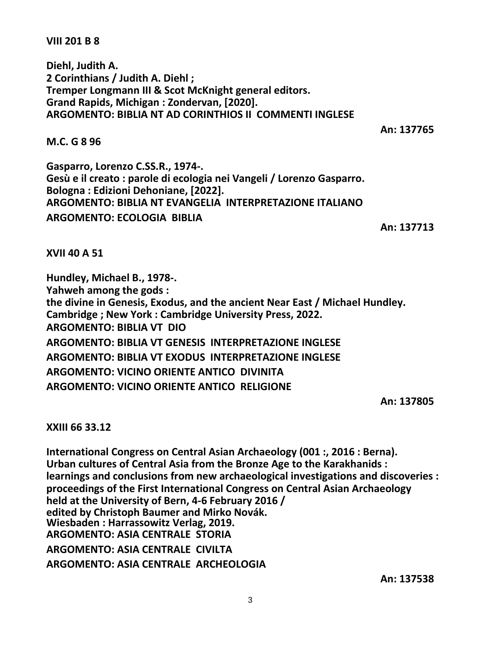**An: 137538**

3

**VIII 201 B 8**

**Diehl, Judith A. 2 Corinthians / Judith A. Diehl ; Tremper Longmann III & Scot McKnight general editors. Grand Rapids, Michigan : Zondervan, [2020]. ARGOMENTO: BIBLIA NT AD CORINTHIOS II COMMENTI INGLESE**

**M.C. G 8 96**

**Gasparro, Lorenzo C.SS.R., 1974-. Gesù e il creato : parole di ecologia nei Vangeli / Lorenzo Gasparro. Bologna : Edizioni Dehoniane, [2022]. ARGOMENTO: BIBLIA NT EVANGELIA INTERPRETAZIONE ITALIANO ARGOMENTO: ECOLOGIA BIBLIA**

**An: 137713**

**An: 137765**

**XVII 40 A 51**

**Hundley, Michael B., 1978-. Yahweh among the gods : the divine in Genesis, Exodus, and the ancient Near East / Michael Hundley. Cambridge ; New York : Cambridge University Press, 2022. ARGOMENTO: BIBLIA VT DIO ARGOMENTO: BIBLIA VT GENESIS INTERPRETAZIONE INGLESE ARGOMENTO: BIBLIA VT EXODUS INTERPRETAZIONE INGLESE ARGOMENTO: VICINO ORIENTE ANTICO DIVINITA ARGOMENTO: VICINO ORIENTE ANTICO RELIGIONE**

**An: 137805**

**XXIII 66 33.12**

**International Congress on Central Asian Archaeology (001 :, 2016 : Berna). Urban cultures of Central Asia from the Bronze Age to the Karakhanids : learnings and conclusions from new archaeological investigations and discoveries : proceedings of the First International Congress on Central Asian Archaeology held at the University of Bern, 4-6 February 2016 / edited by Christoph Baumer and Mirko Novák. Wiesbaden : Harrassowitz Verlag, 2019. ARGOMENTO: ASIA CENTRALE STORIA ARGOMENTO: ASIA CENTRALE CIVILTA ARGOMENTO: ASIA CENTRALE ARCHEOLOGIA**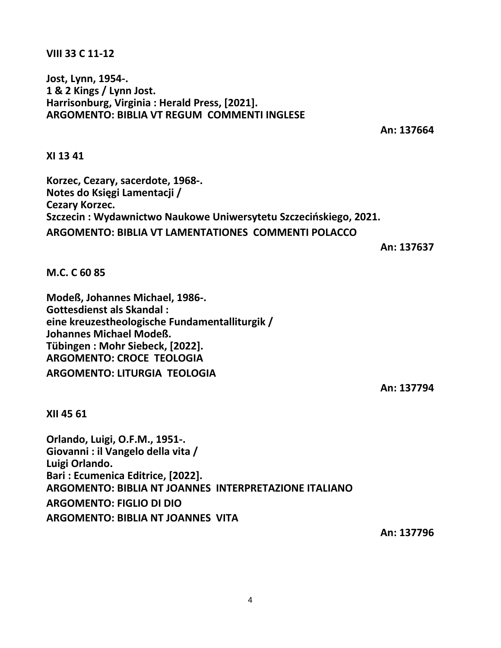**VIII 33 C 11-12**

**Jost, Lynn, 1954-. 1 & 2 Kings / Lynn Jost. Harrisonburg, Virginia : Herald Press, [2021]. ARGOMENTO: BIBLIA VT REGUM COMMENTI INGLESE**

**An: 137664**

**XI 13 41**

**Korzec, Cezary, sacerdote, 1968-. Notes do Księgi Lamentacji / Cezary Korzec. Szczecin : Wydawnictwo Naukowe Uniwersytetu Szczecińskiego, 2021. ARGOMENTO: BIBLIA VT LAMENTATIONES COMMENTI POLACCO**

**An: 137637**

**M.C. C 60 85**

**Modeß, Johannes Michael, 1986-. Gottesdienst als Skandal : eine kreuzestheologische Fundamentalliturgik / Johannes Michael Modeß. Tübingen : Mohr Siebeck, [2022]. ARGOMENTO: CROCE TEOLOGIA ARGOMENTO: LITURGIA TEOLOGIA**

**An: 137794**

**XII 45 61**

**Orlando, Luigi, O.F.M., 1951-. Giovanni : il Vangelo della vita / Luigi Orlando. Bari : Ecumenica Editrice, [2022]. ARGOMENTO: BIBLIA NT JOANNES INTERPRETAZIONE ITALIANO ARGOMENTO: FIGLIO DI DIO ARGOMENTO: BIBLIA NT JOANNES VITA**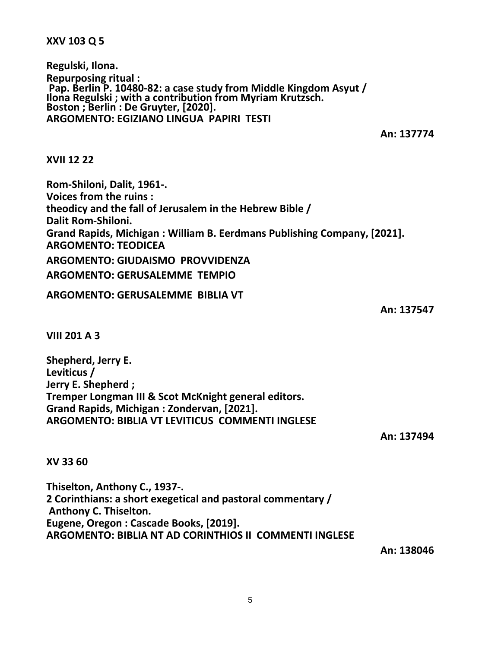**XXV 103 Q 5**

**Regulski, Ilona. Repurposing ritual : Pap. Berlin P. 10480-82: a case study from Middle Kingdom Asyut / Ilona Regulski ; with a contribution from Myriam Krutzsch. Boston ; Berlin : De Gruyter, [2020]. ARGOMENTO: EGIZIANO LINGUA PAPIRI TESTI**

**An: 137774**

**XVII 12 22**

**Rom-Shiloni, Dalit, 1961-. Voices from the ruins : theodicy and the fall of Jerusalem in the Hebrew Bible / Dalit Rom-Shiloni. Grand Rapids, Michigan : William B. Eerdmans Publishing Company, [2021]. ARGOMENTO: TEODICEA ARGOMENTO: GIUDAISMO PROVVIDENZA ARGOMENTO: GERUSALEMME TEMPIO**

**ARGOMENTO: GERUSALEMME BIBLIA VT**

**An: 137547**

**VIII 201 A 3**

**Shepherd, Jerry E. Leviticus / Jerry E. Shepherd ; Tremper Longman III & Scot McKnight general editors. Grand Rapids, Michigan : Zondervan, [2021]. ARGOMENTO: BIBLIA VT LEVITICUS COMMENTI INGLESE**

**An: 137494**

**XV 33 60**

**Thiselton, Anthony C., 1937-. 2 Corinthians: a short exegetical and pastoral commentary / Anthony C. Thiselton. Eugene, Oregon : Cascade Books, [2019]. ARGOMENTO: BIBLIA NT AD CORINTHIOS II COMMENTI INGLESE**